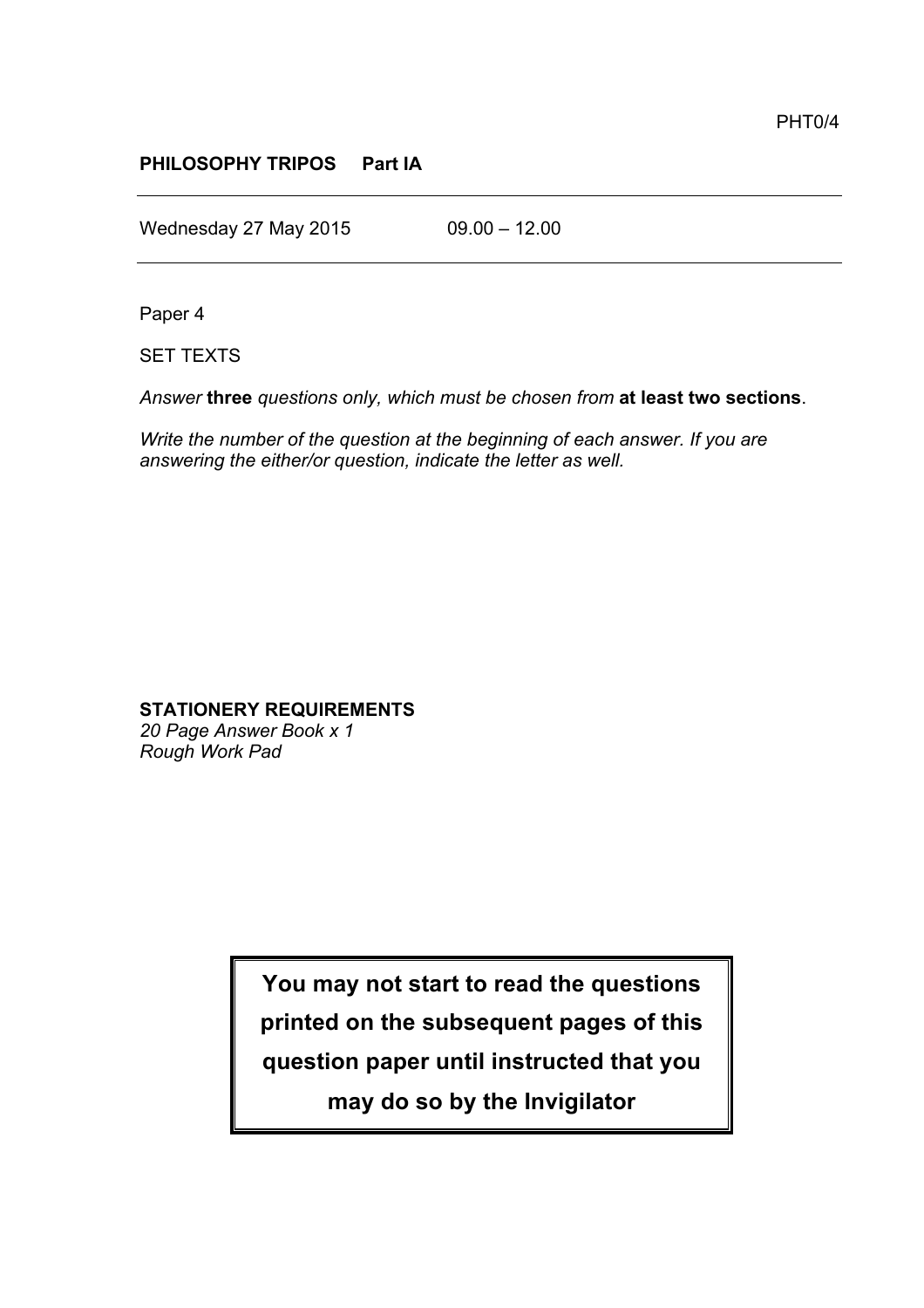## **PHILOSOPHY TRIPOS Part IA**

Wednesday 27 May 2015 09.00 - 12.00

Paper 4

SET TEXTS

*Answer* **three** *questions only, which must be chosen from* **at least two sections**.

*Write the number of the question at the beginning of each answer. If you are answering the either/or question, indicate the letter as well.*

# **STATIONERY REQUIREMENTS**

*20 Page Answer Book x 1 Rough Work Pad*

> **You may not start to read the questions printed on the subsequent pages of this question paper until instructed that you may do so by the Invigilator**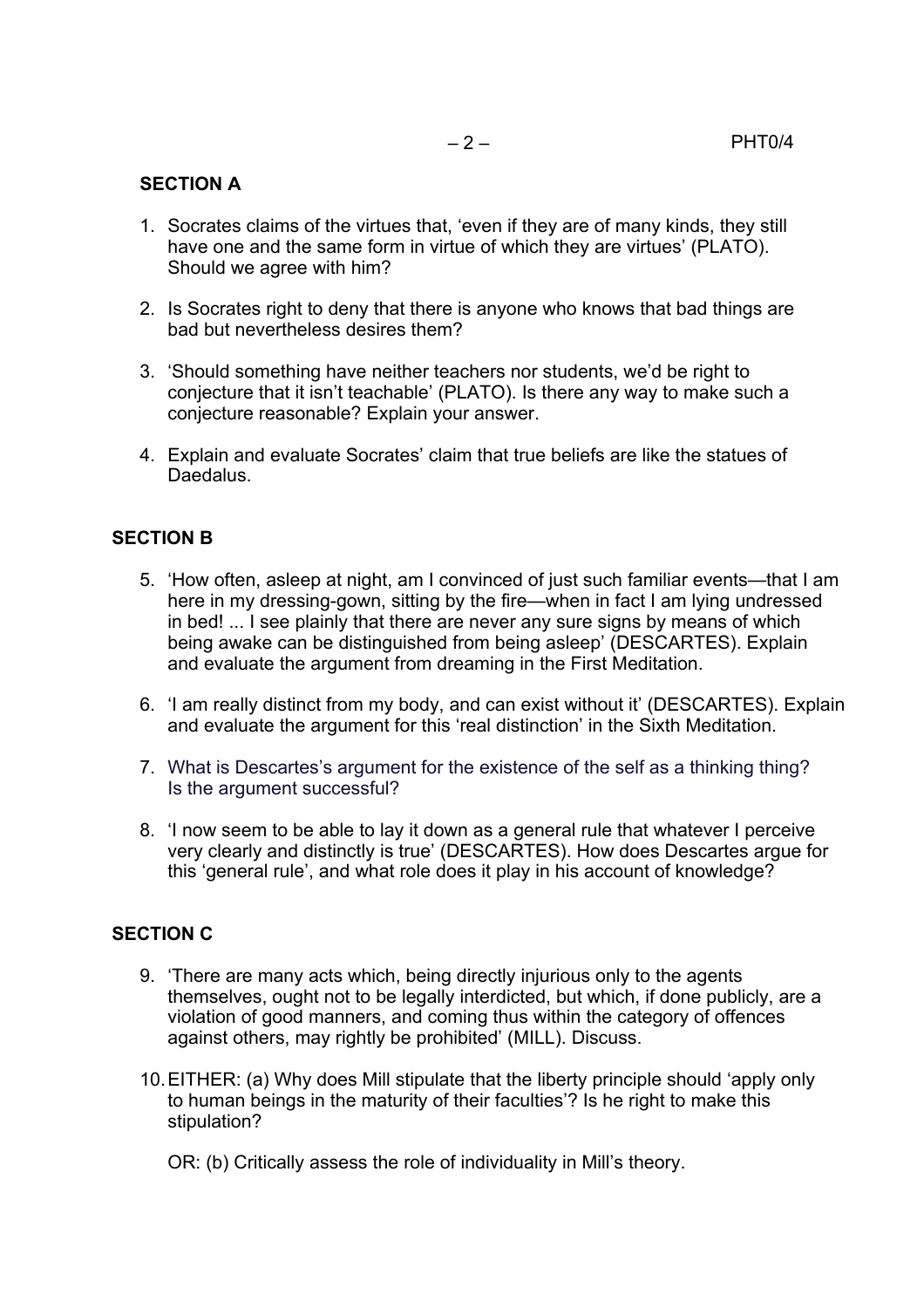### **SECTION A**

- 1. Socrates claims of the virtues that, 'even if they are of many kinds, they still have one and the same form in virtue of which they are virtues' (PLATO). Should we agree with him?
- 2. Is Socrates right to deny that there is anyone who knows that bad things are bad but nevertheless desires them?
- 3. 'Should something have neither teachers nor students, we'd be right to conjecture that it isn't teachable' (PLATO). Is there any way to make such a conjecture reasonable? Explain your answer.
- 4. Explain and evaluate Socrates' claim that true beliefs are like the statues of Daedalus.

### **SECTION B**

- 5. 'How often, asleep at night, am I convinced of just such familiar events—that I am here in my dressing-gown, sitting by the fire—when in fact I am lying undressed in bed! ... I see plainly that there are never any sure signs by means of which being awake can be distinguished from being asleep' (DESCARTES). Explain and evaluate the argument from dreaming in the First Meditation.
- 6. 'I am really distinct from my body, and can exist without it' (DESCARTES). Explain and evaluate the argument for this 'real distinction' in the Sixth Meditation.
- 7. What is Descartes's argument for the existence of the self as a thinking thing? Is the argument successful?
- 8. 'I now seem to be able to lay it down as a general rule that whatever I perceive very clearly and distinctly is true' (DESCARTES). How does Descartes argue for this 'general rule', and what role does it play in his account of knowledge?

## **SECTION C**

- 9. 'There are many acts which, being directly injurious only to the agents themselves, ought not to be legally interdicted, but which, if done publicly, are a violation of good manners, and coming thus within the category of offences against others, may rightly be prohibited' (MILL). Discuss.
- 10.EITHER: (a) Why does Mill stipulate that the liberty principle should 'apply only to human beings in the maturity of their faculties'? Is he right to make this stipulation?

OR: (b) Critically assess the role of individuality in Mill's theory.